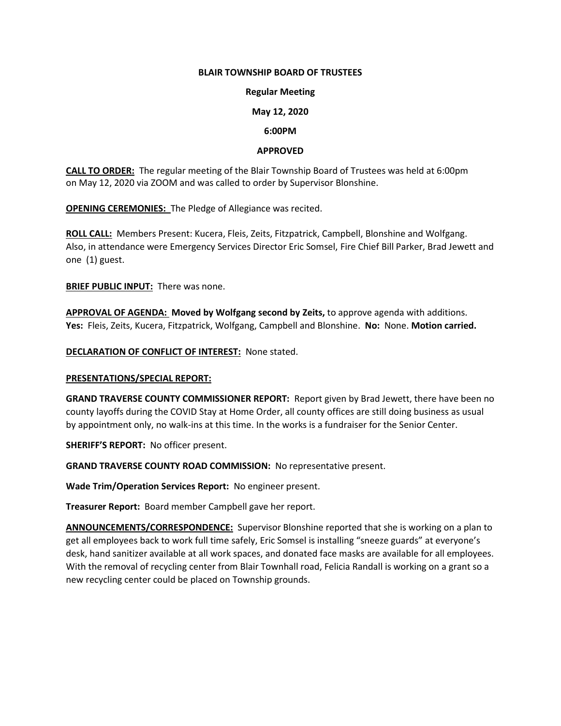#### **BLAIR TOWNSHIP BOARD OF TRUSTEES**

## **Regular Meeting**

## **May 12, 2020**

### **6:00PM**

## **APPROVED**

**CALL TO ORDER:** The regular meeting of the Blair Township Board of Trustees was held at 6:00pm on May 12, 2020 via ZOOM and was called to order by Supervisor Blonshine.

**OPENING CEREMONIES:** The Pledge of Allegiance was recited.

**ROLL CALL:** Members Present: Kucera, Fleis, Zeits, Fitzpatrick, Campbell, Blonshine and Wolfgang. Also, in attendance were Emergency Services Director Eric Somsel, Fire Chief Bill Parker, Brad Jewett and one (1) guest.

**BRIEF PUBLIC INPUT:** There was none.

**APPROVAL OF AGENDA: Moved by Wolfgang second by Zeits,** to approve agenda with additions. **Yes:** Fleis, Zeits, Kucera, Fitzpatrick, Wolfgang, Campbell and Blonshine. **No:** None. **Motion carried.**

**DECLARATION OF CONFLICT OF INTEREST:** None stated.

#### **PRESENTATIONS/SPECIAL REPORT:**

**GRAND TRAVERSE COUNTY COMMISSIONER REPORT:** Report given by Brad Jewett, there have been no county layoffs during the COVID Stay at Home Order, all county offices are still doing business as usual by appointment only, no walk-ins at this time. In the works is a fundraiser for the Senior Center.

**SHERIFF'S REPORT:** No officer present.

**GRAND TRAVERSE COUNTY ROAD COMMISSION:** No representative present.

**Wade Trim/Operation Services Report:** No engineer present.

**Treasurer Report:** Board member Campbell gave her report.

**ANNOUNCEMENTS/CORRESPONDENCE:** Supervisor Blonshine reported that she is working on a plan to get all employees back to work full time safely, Eric Somsel is installing "sneeze guards" at everyone's desk, hand sanitizer available at all work spaces, and donated face masks are available for all employees. With the removal of recycling center from Blair Townhall road, Felicia Randall is working on a grant so a new recycling center could be placed on Township grounds.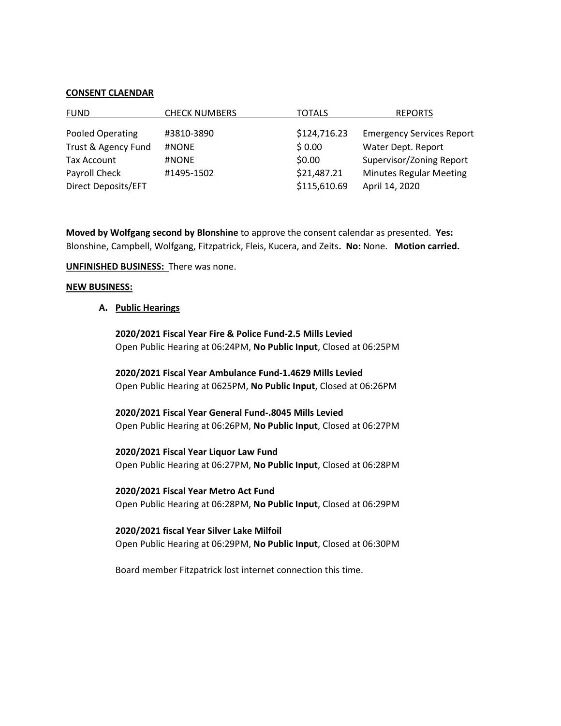#### **CONSENT CLAENDAR**

| <b>FUND</b>         | <b>CHECK NUMBERS</b> | <b>TOTALS</b> | <b>REPORTS</b>                   |
|---------------------|----------------------|---------------|----------------------------------|
| Pooled Operating    | #3810-3890           | \$124,716.23  | <b>Emergency Services Report</b> |
| Trust & Agency Fund | #NONE                | \$0.00        | Water Dept. Report               |
| Tax Account         | #NONE                | \$0.00        | Supervisor/Zoning Report         |
| Payroll Check       | #1495-1502           | \$21,487.21   | <b>Minutes Regular Meeting</b>   |
| Direct Deposits/EFT |                      | \$115,610.69  | April 14, 2020                   |

**Moved by Wolfgang second by Blonshine** to approve the consent calendar as presented. **Yes:**  Blonshine, Campbell, Wolfgang, Fitzpatrick, Fleis, Kucera, and Zeits**. No:** None. **Motion carried.**

### **UNFINISHED BUSINESS:** There was none.

### **NEW BUSINESS:**

## **A. Public Hearings**

**2020/2021 Fiscal Year Fire & Police Fund-2.5 Mills Levied** Open Public Hearing at 06:24PM, **No Public Input**, Closed at 06:25PM

**2020/2021 Fiscal Year Ambulance Fund-1.4629 Mills Levied** Open Public Hearing at 0625PM, **No Public Input**, Closed at 06:26PM

**2020/2021 Fiscal Year General Fund-.8045 Mills Levied** Open Public Hearing at 06:26PM, **No Public Input**, Closed at 06:27PM

**2020/2021 Fiscal Year Liquor Law Fund**

Open Public Hearing at 06:27PM, **No Public Input**, Closed at 06:28PM

**2020/2021 Fiscal Year Metro Act Fund**

Open Public Hearing at 06:28PM, **No Public Input**, Closed at 06:29PM

# **2020/2021 fiscal Year Silver Lake Milfoil**

Open Public Hearing at 06:29PM, **No Public Input**, Closed at 06:30PM

Board member Fitzpatrick lost internet connection this time.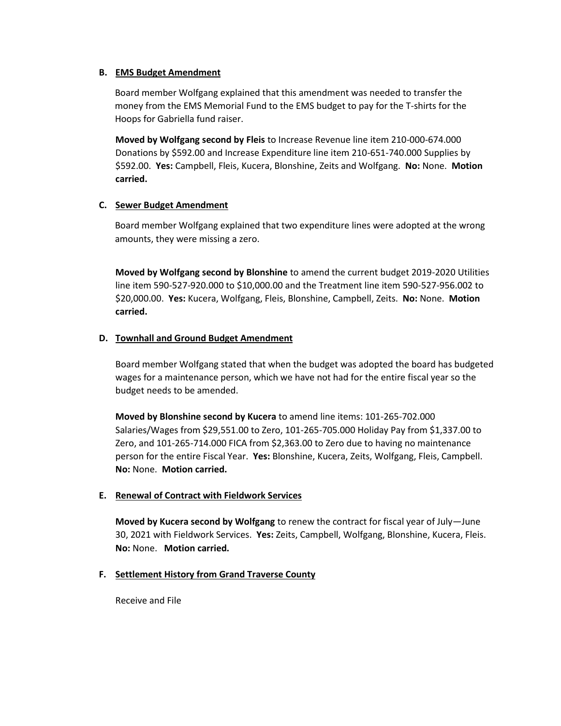## **B. EMS Budget Amendment**

 Board member Wolfgang explained that this amendment was needed to transfer the money from the EMS Memorial Fund to the EMS budget to pay for the T-shirts for the Hoops for Gabriella fund raiser.

**Moved by Wolfgang second by Fleis** to Increase Revenue line item 210-000-674.000 Donations by \$592.00 and Increase Expenditure line item 210-651-740.000 Supplies by \$592.00. **Yes:** Campbell, Fleis, Kucera, Blonshine, Zeits and Wolfgang. **No:** None. **Motion carried.**

## **C. Sewer Budget Amendment**

Board member Wolfgang explained that two expenditure lines were adopted at the wrong amounts, they were missing a zero.

**Moved by Wolfgang second by Blonshine** to amend the current budget 2019-2020 Utilities line item 590-527-920.000 to \$10,000.00 and the Treatment line item 590-527-956.002 to \$20,000.00. **Yes:** Kucera, Wolfgang, Fleis, Blonshine, Campbell, Zeits. **No:** None. **Motion carried.**

### **D. Townhall and Ground Budget Amendment**

Board member Wolfgang stated that when the budget was adopted the board has budgeted wages for a maintenance person, which we have not had for the entire fiscal year so the budget needs to be amended.

**Moved by Blonshine second by Kucera** to amend line items: 101-265-702.000 Salaries/Wages from \$29,551.00 to Zero, 101-265-705.000 Holiday Pay from \$1,337.00 to Zero, and 101-265-714.000 FICA from \$2,363.00 to Zero due to having no maintenance person for the entire Fiscal Year. **Yes:** Blonshine, Kucera, Zeits, Wolfgang, Fleis, Campbell. **No:** None. **Motion carried.** 

#### **E. Renewal of Contract with Fieldwork Services**

**Moved by Kucera second by Wolfgang** to renew the contract for fiscal year of July—June 30, 2021 with Fieldwork Services. **Yes:** Zeits, Campbell, Wolfgang, Blonshine, Kucera, Fleis. **No:** None. **Motion carried.** 

#### **F. Settlement History from Grand Traverse County**

Receive and File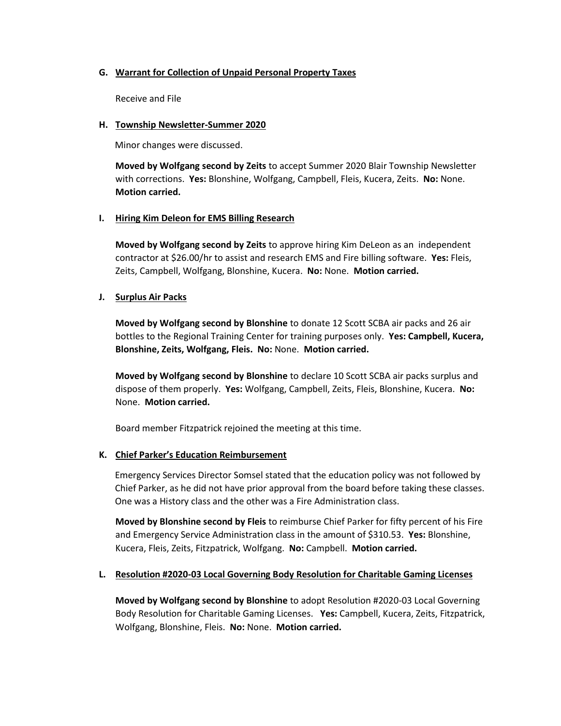## **G. Warrant for Collection of Unpaid Personal Property Taxes**

Receive and File

## **H. Township Newsletter-Summer 2020**

Minor changes were discussed.

**Moved by Wolfgang second by Zeits** to accept Summer 2020 Blair Township Newsletter with corrections. **Yes:** Blonshine, Wolfgang, Campbell, Fleis, Kucera, Zeits. **No:** None. **Motion carried.** 

# **I. Hiring Kim Deleon for EMS Billing Research**

**Moved by Wolfgang second by Zeits** to approve hiring Kim DeLeon as an independent contractor at \$26.00/hr to assist and research EMS and Fire billing software. **Yes:** Fleis, Zeits, Campbell, Wolfgang, Blonshine, Kucera. **No:** None. **Motion carried.** 

# **J. Surplus Air Packs**

**Moved by Wolfgang second by Blonshine** to donate 12 Scott SCBA air packs and 26 air bottles to the Regional Training Center for training purposes only. **Yes: Campbell, Kucera, Blonshine, Zeits, Wolfgang, Fleis. No:** None. **Motion carried.** 

**Moved by Wolfgang second by Blonshine** to declare 10 Scott SCBA air packs surplus and dispose of them properly. **Yes:** Wolfgang, Campbell, Zeits, Fleis, Blonshine, Kucera. **No:**  None. **Motion carried.** 

Board member Fitzpatrick rejoined the meeting at this time.

# **K. Chief Parker's Education Reimbursement**

 Emergency Services Director Somsel stated that the education policy was not followed by Chief Parker, as he did not have prior approval from the board before taking these classes. One was a History class and the other was a Fire Administration class.

**Moved by Blonshine second by Fleis** to reimburse Chief Parker for fifty percent of his Fire and Emergency Service Administration class in the amount of \$310.53. **Yes:** Blonshine, Kucera, Fleis, Zeits, Fitzpatrick, Wolfgang. **No:** Campbell. **Motion carried.**

# **L. Resolution #2020-03 Local Governing Body Resolution for Charitable Gaming Licenses**

**Moved by Wolfgang second by Blonshine** to adopt Resolution #2020-03 Local Governing Body Resolution for Charitable Gaming Licenses. **Yes:** Campbell, Kucera, Zeits, Fitzpatrick, Wolfgang, Blonshine, Fleis. **No:** None. **Motion carried.**